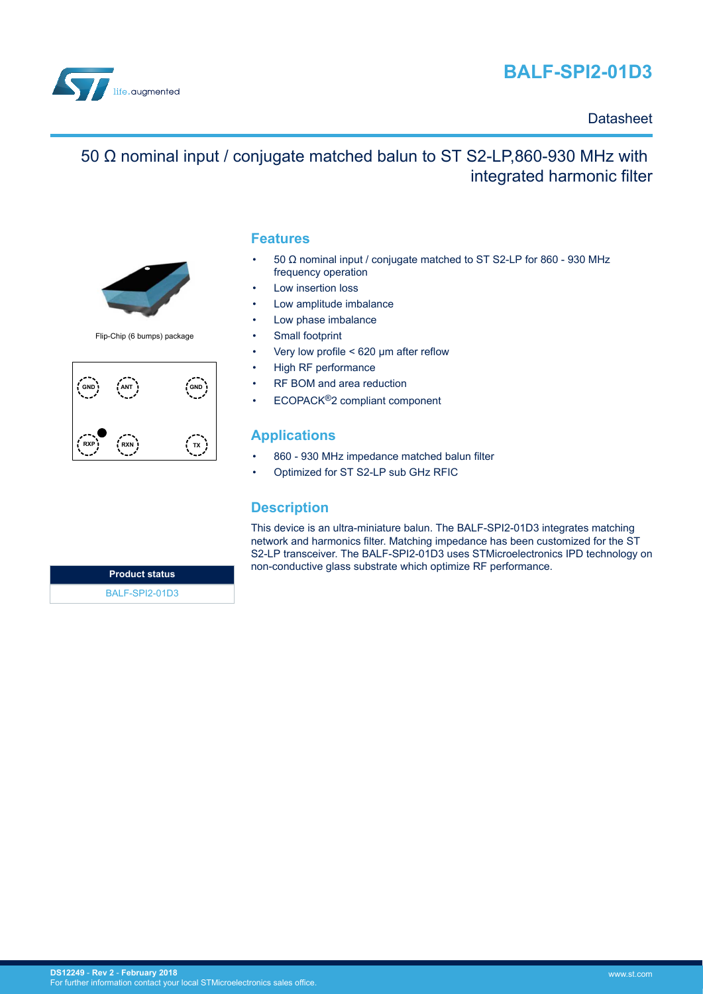



### **Datasheet**

# 50 Ω nominal input / conjugate matched balun to ST S2-LP,860-930 MHz with integrated harmonic filter



Flip-Chip (6 bumps) package



#### **Features**

- 50 Ω nominal input / conjugate matched to ST S2-LP for 860 930 MHz frequency operation
- Low insertion loss
- Low amplitude imbalance
- Low phase imbalance
- Small footprint
- Very low profile < 620 μm after reflow
- High RF performance
- RF BOM and area reduction
- ECOPACK®2 compliant component

### **Applications**

- 860 930 MHz impedance matched balun filter
- Optimized for ST S2-LP sub GHz RFIC

#### **Description**

This device is an ultra-miniature balun. The BALF-SPI2-01D3 integrates matching network and harmonics filter. Matching impedance has been customized for the ST S2-LP transceiver. The BALF-SPI2-01D3 uses STMicroelectronics IPD technology on non-conductive glass substrate which optimize RF performance.

**Product status** [BALF-SPI2-01D3](http://www.st.com/en/product/balf-spi2-01d3)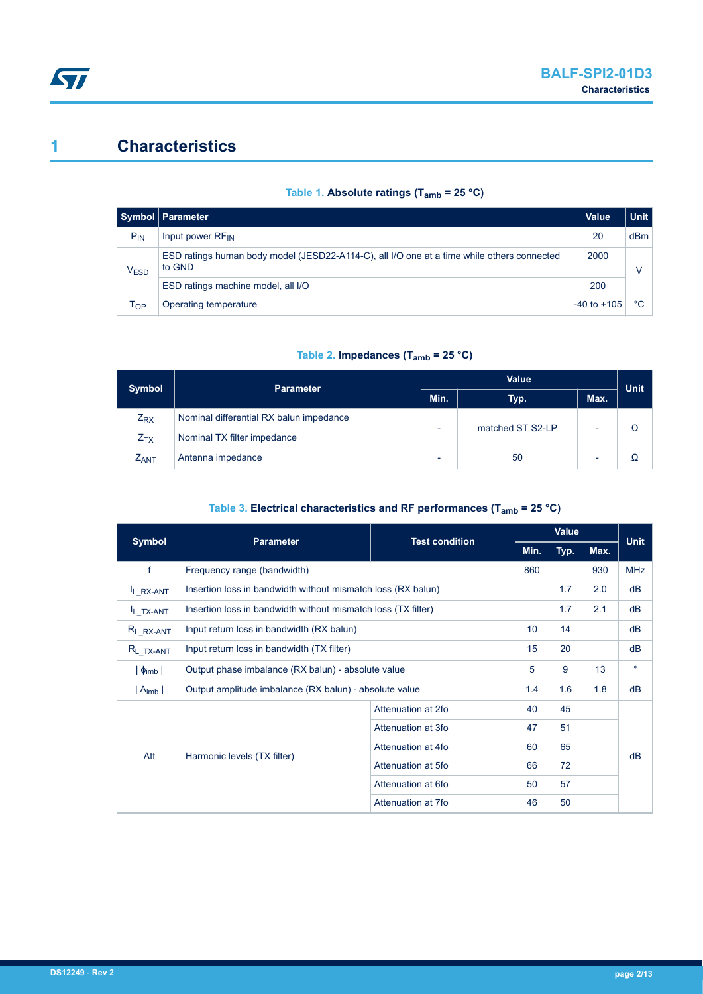# <span id="page-1-0"></span>**1 Characteristics**

| Table 1. Absolute ratings ( $T_{amb}$ = 25 °C) |  |  |  |  |  |  |  |  |
|------------------------------------------------|--|--|--|--|--|--|--|--|
|------------------------------------------------|--|--|--|--|--|--|--|--|

|                  | Symbol   Parameter                                                                                   | <b>Value</b>    | <b>Unit</b>     |
|------------------|------------------------------------------------------------------------------------------------------|-----------------|-----------------|
| $P_{IN}$         | Input power RF <sub>IN</sub>                                                                         | 20              | d <sub>Bm</sub> |
| V <sub>ESD</sub> | ESD ratings human body model (JESD22-A114-C), all I/O one at a time while others connected<br>to GND | 2000            |                 |
|                  | ESD ratings machine model, all I/O                                                                   | 200             |                 |
| Тор              | Operating temperature                                                                                | $-40$ to $+105$ | °C              |

#### **Table 2. Impedances (Tamb = 25 °C)**

| <b>Symbol</b>    | <b>Parameter</b>                        |  | <b>Value</b>     |  |             |  |
|------------------|-----------------------------------------|--|------------------|--|-------------|--|
|                  |                                         |  | Max.<br>Typ.     |  | <b>Unit</b> |  |
| $Z_{\rm RX}$     | Nominal differential RX balun impedance |  | matched ST S2-LP |  |             |  |
| $Z_{TX}$         | Nominal TX filter impedance             |  |                  |  |             |  |
| $Z_{\text{ANT}}$ | Antenna impedance                       |  | 50               |  |             |  |

#### **Table 3. Electrical characteristics and RF performances (Tamb = 25 °C)**

| <b>Symbol</b>         | <b>Parameter</b>                                                            | <b>Test condition</b> |      | Value |         |             |
|-----------------------|-----------------------------------------------------------------------------|-----------------------|------|-------|---------|-------------|
|                       |                                                                             |                       | Min. | Typ.  | Max.    | <b>Unit</b> |
| f                     | Frequency range (bandwidth)                                                 |                       |      |       | 930     | <b>MHz</b>  |
| IL RX-ANT             | Insertion loss in bandwidth without mismatch loss (RX balun)                |                       |      | 1.7   | 2.0     | dB          |
| IL_TX-ANT             | 1.7<br>2.1<br>Insertion loss in bandwidth without mismatch loss (TX filter) |                       |      |       |         |             |
| R <sub>L</sub> RX-ANT | 10 <sup>1</sup><br>14<br>Input return loss in bandwidth (RX balun)          |                       |      |       |         | dB          |
| $R_{L_TX-ANT}$        | Input return loss in bandwidth (TX filter)                                  | 15                    | 20   |       | dB      |             |
| $\phi_{\text{imb}}$   | Output phase imbalance (RX balun) - absolute value                          | 5                     | 9    | 13    | $\circ$ |             |
| $ A_{imb} $           | Output amplitude imbalance (RX balun) - absolute value                      |                       |      | 1.6   | 1.8     | dB          |
| Att                   |                                                                             | Attenuation at 2fo    | 40   | 45    |         |             |
|                       | Harmonic levels (TX filter)                                                 | Attenuation at 3fo    | 47   | 51    |         |             |
|                       |                                                                             | Attenuation at 4fo    | 60   | 65    |         | dB          |
|                       |                                                                             | Attenuation at 5fo    | 66   | 72    |         |             |
|                       |                                                                             | Attenuation at 6fo    | 50   | 57    |         |             |
|                       |                                                                             | Attenuation at 7fo    | 46   | 50    |         |             |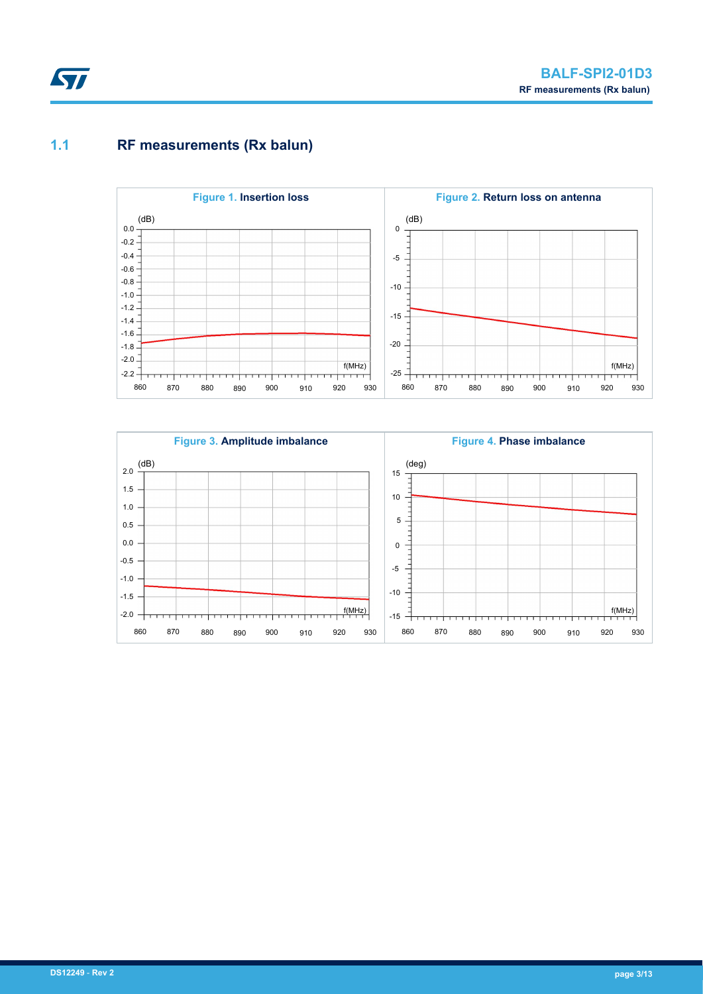# <span id="page-2-0"></span>**1.1 RF measurements (Rx balun)**



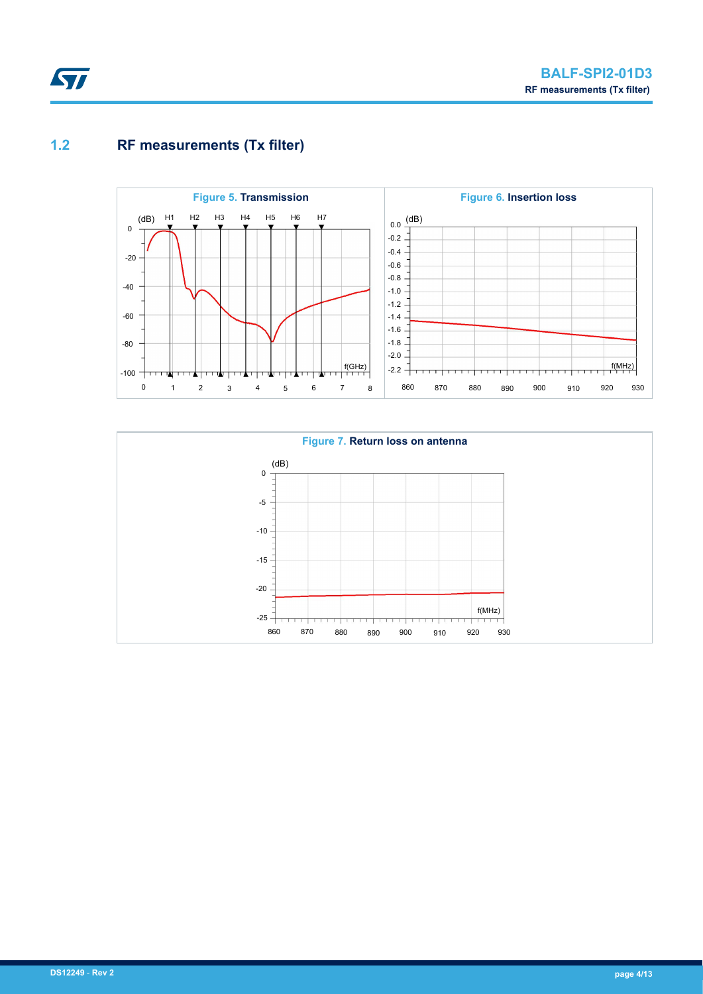### <span id="page-3-0"></span>**1.2 RF measurements (Tx filter)**



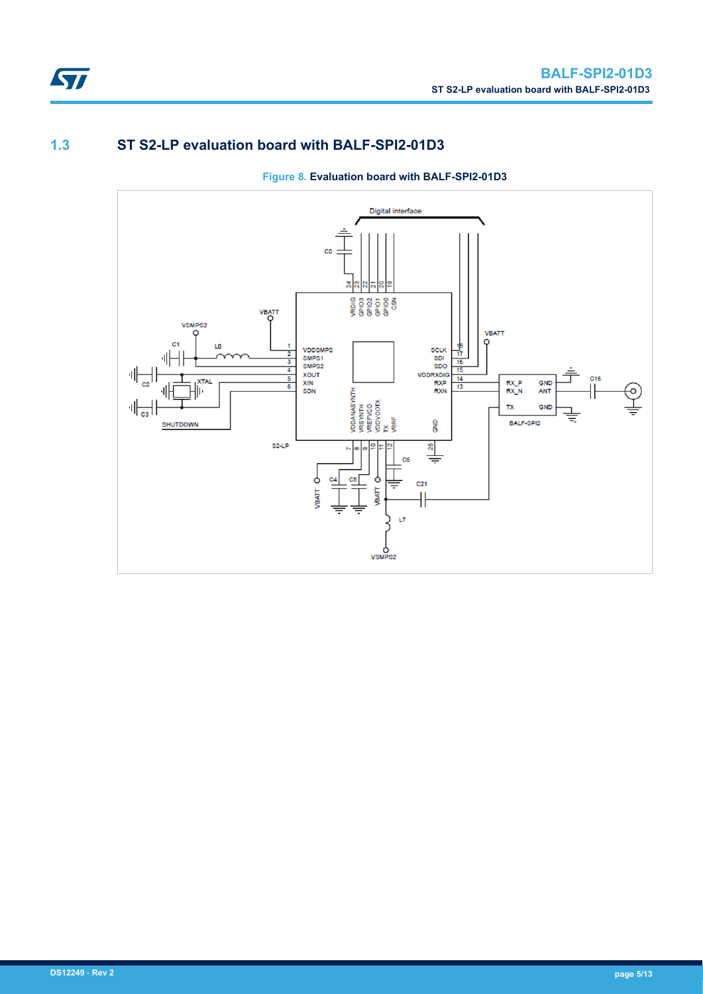

### **1.3 ST S2-LP evaluation board with BALF-SPI2-01D3**



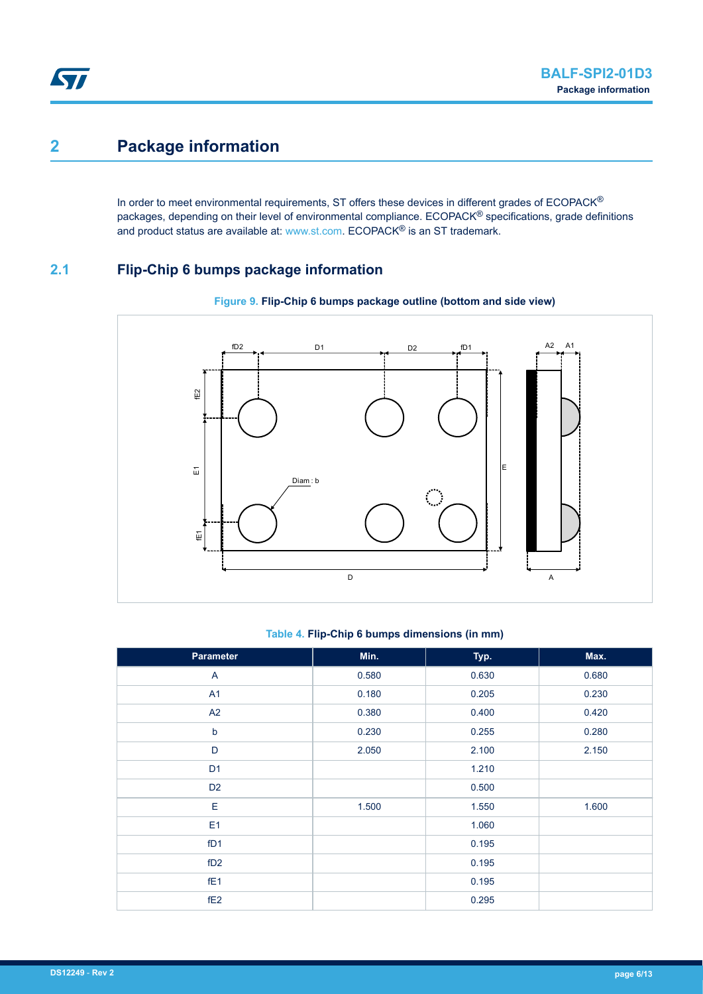# <span id="page-5-0"></span>**2 Package information**

In order to meet environmental requirements, ST offers these devices in different grades of ECOPACK® packages, depending on their level of environmental compliance. ECOPACK® specifications, grade definitions and product status are available at: [www.st.com.](http://www.st.com) ECOPACK® is an ST trademark.

### **2.1 Flip-Chip 6 bumps package information**



#### **Figure 9. Flip-Chip 6 bumps package outline (bottom and side view)**

#### **Table 4. Flip-Chip 6 bumps dimensions (in mm)**

| Parameter       | Min.  | Typ.  | Max.  |
|-----------------|-------|-------|-------|
| A               | 0.580 | 0.630 | 0.680 |
| A1              | 0.180 | 0.205 | 0.230 |
| A2              | 0.380 | 0.400 | 0.420 |
| $\sf b$         | 0.230 | 0.255 | 0.280 |
| D               | 2.050 | 2.100 | 2.150 |
| D <sub>1</sub>  |       | 1.210 |       |
| D <sub>2</sub>  |       | 0.500 |       |
| E               | 1.500 | 1.550 | 1.600 |
| E <sub>1</sub>  |       | 1.060 |       |
| fD1             |       | 0.195 |       |
| fD2             |       | 0.195 |       |
| fE <sub>1</sub> |       | 0.195 |       |
| fE <sub>2</sub> |       | 0.295 |       |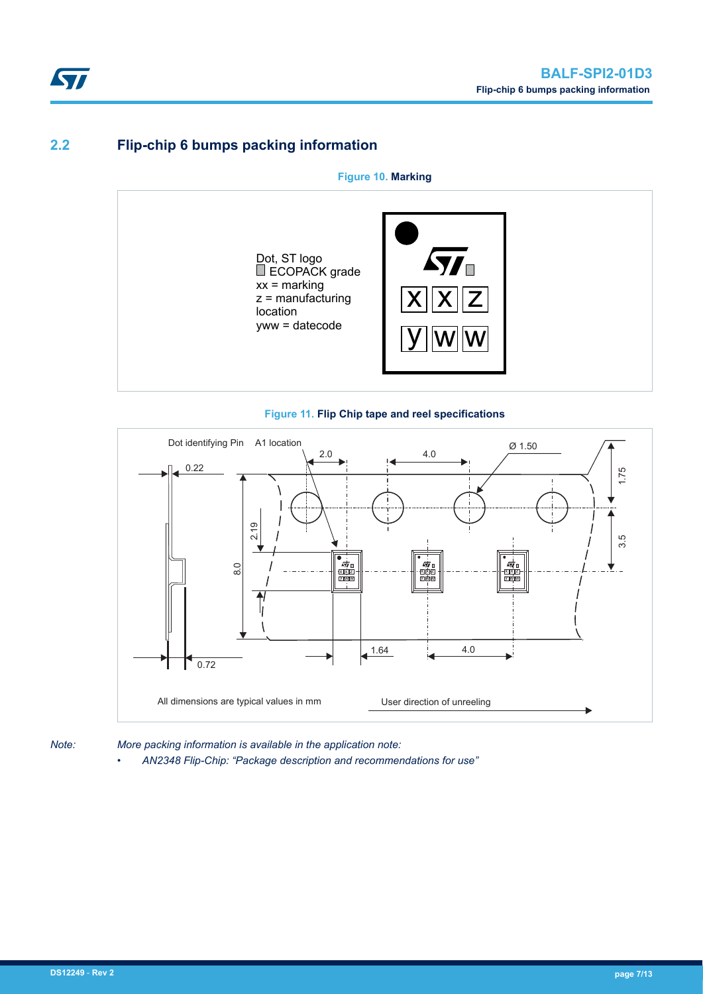### **2.2 Flip-chip 6 bumps packing information**

**Figure 10. Marking**







*Note: More packing information is available in the application note:*

*• AN2348 Flip-Chip: "Package description and recommendations for use"*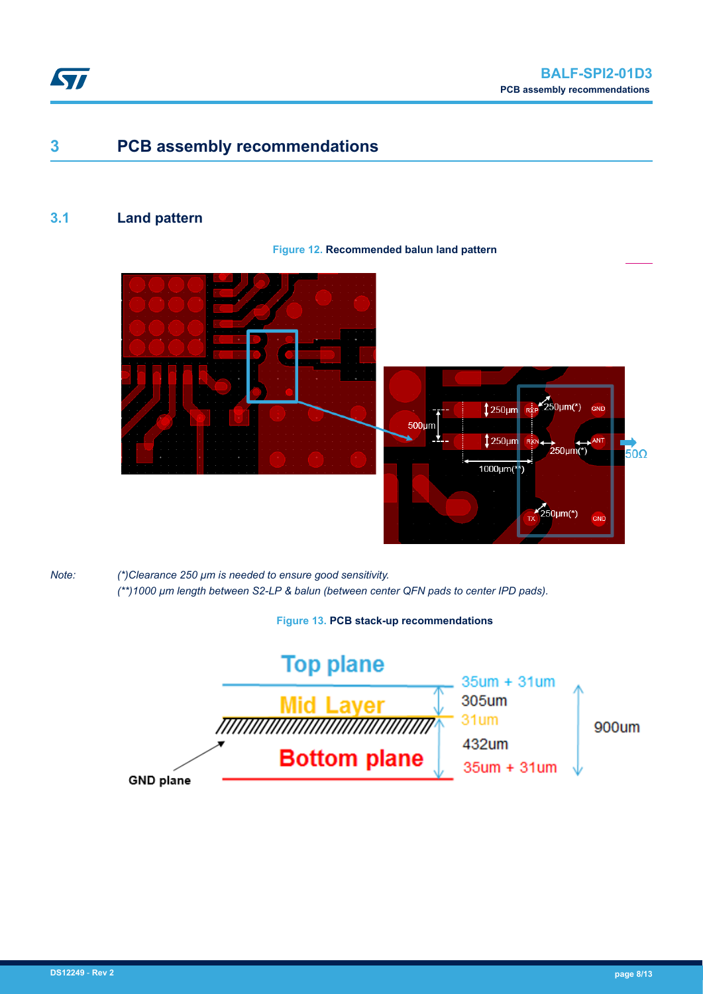<span id="page-7-0"></span>

## **3 PCB assembly recommendations**

### **3.1 Land pattern**

#### **Figure 12. Recommended balun land pattern**





*Note: (\*)Clearance 250 µm is needed to ensure good sensitivity. (\*\*)1000 µm length between S2-LP & balun (between center QFN pads to center IPD pads).*

**Figure 13. PCB stack-up recommendations**

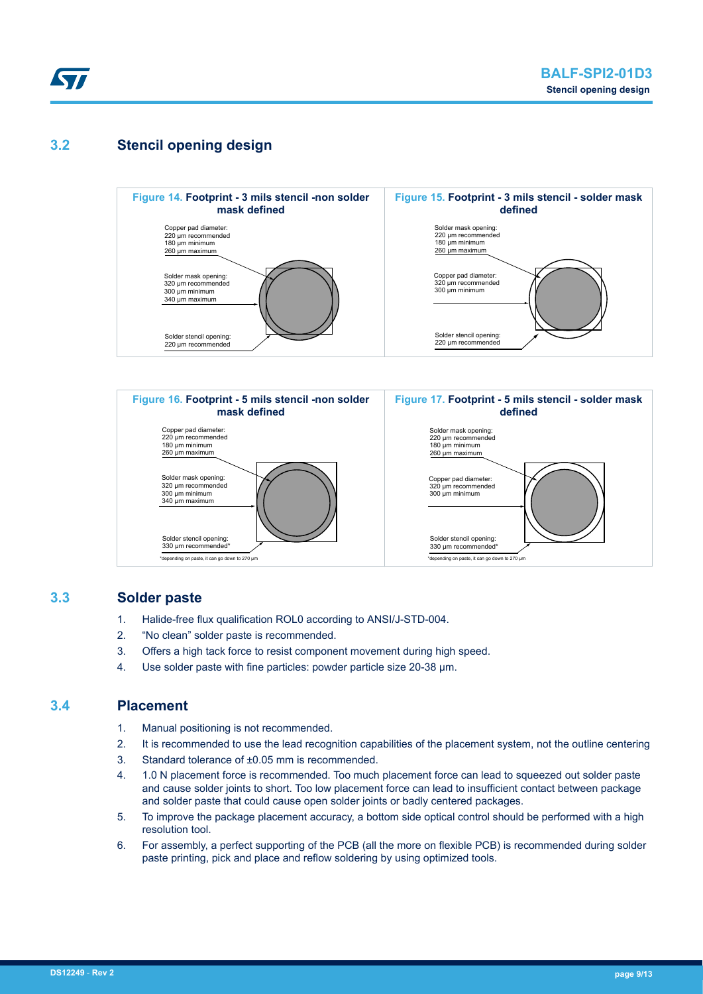

### **3.2 Stencil opening design**





#### **3.3 Solder paste**

- 1. Halide-free flux qualification ROL0 according to ANSI/J-STD-004.
- 2. "No clean" solder paste is recommended.
- 3. Offers a high tack force to resist component movement during high speed.
- 4. Use solder paste with fine particles: powder particle size 20-38 µm.

#### **3.4 Placement**

- 1. Manual positioning is not recommended.
- 2. It is recommended to use the lead recognition capabilities of the placement system, not the outline centering
- 3. Standard tolerance of ±0.05 mm is recommended.
- 4. 1.0 N placement force is recommended. Too much placement force can lead to squeezed out solder paste and cause solder joints to short. Too low placement force can lead to insufficient contact between package and solder paste that could cause open solder joints or badly centered packages.
- 5. To improve the package placement accuracy, a bottom side optical control should be performed with a high resolution tool.
- 6. For assembly, a perfect supporting of the PCB (all the more on flexible PCB) is recommended during solder paste printing, pick and place and reflow soldering by using optimized tools.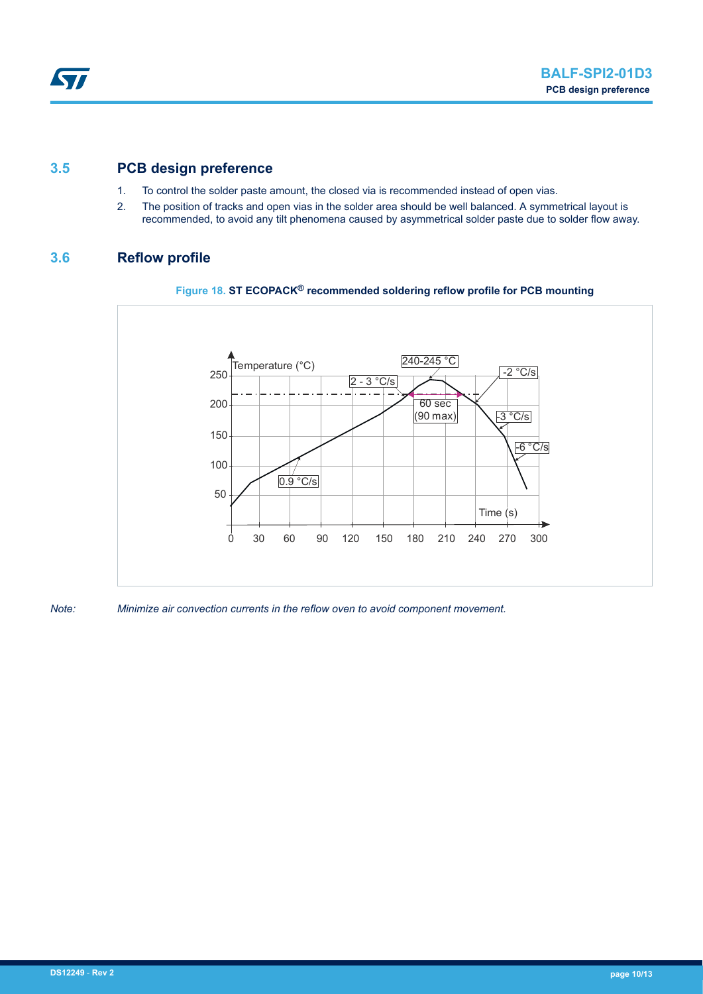#### **3.5 PCB design preference**

- 1. To control the solder paste amount, the closed via is recommended instead of open vias.
- 2. The position of tracks and open vias in the solder area should be well balanced. A symmetrical layout is recommended, to avoid any tilt phenomena caused by asymmetrical solder paste due to solder flow away.

### **3.6 Reflow profile**





*Note: Minimize air convection currents in the reflow oven to avoid component movement.*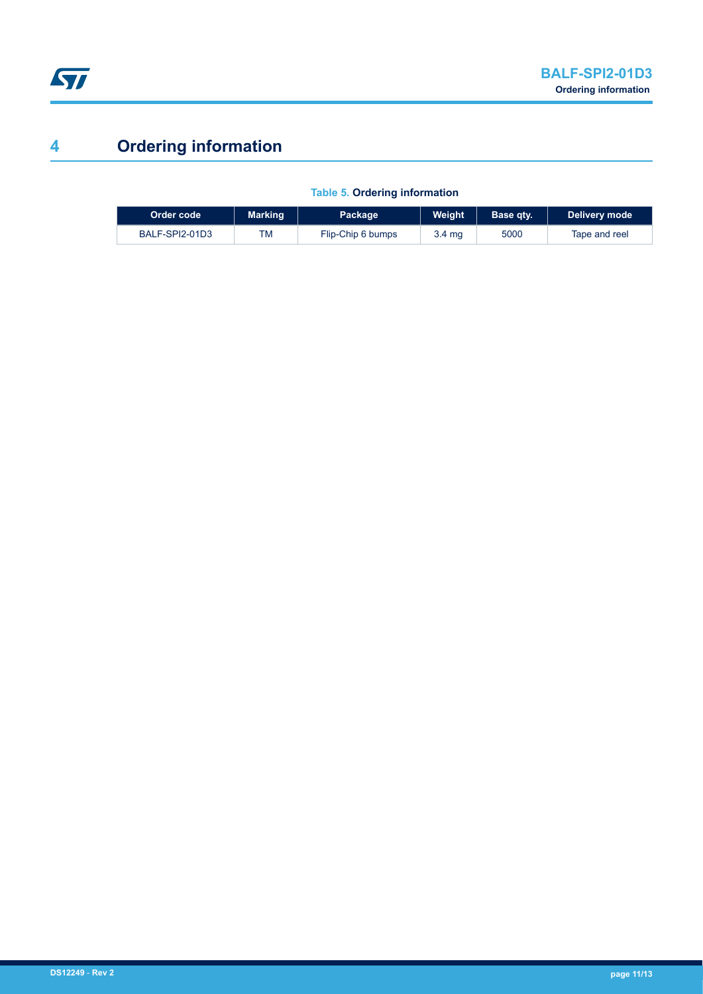

# **4 Ordering information**

| Order code     | <b>Marking</b> | <b>Package</b>    | Weight | Base atv. | Delivery mode |
|----------------|----------------|-------------------|--------|-----------|---------------|
| BALF-SPI2-01D3 | TM             | Flip-Chip 6 bumps | 3.4 mg | 5000      | Tape and reel |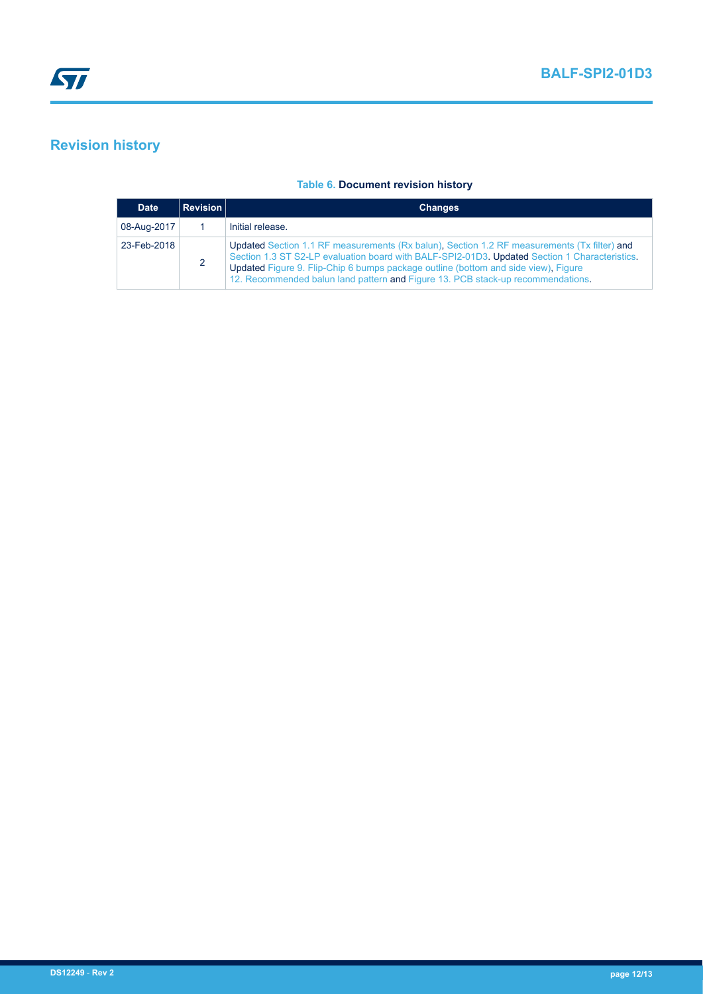# **Revision history**

#### **Table 6. Document revision history**

| <b>Date</b> | <b>Revision</b> | <b>Changes</b>                                                                                                                                                                                                                                                                                                                                                        |
|-------------|-----------------|-----------------------------------------------------------------------------------------------------------------------------------------------------------------------------------------------------------------------------------------------------------------------------------------------------------------------------------------------------------------------|
| 08-Aug-2017 |                 | Initial release.                                                                                                                                                                                                                                                                                                                                                      |
| 23-Feb-2018 |                 | Updated Section 1.1 RF measurements (Rx balun), Section 1.2 RF measurements (Tx filter) and<br>Section 1.3 ST S2-LP evaluation board with BALF-SPI2-01D3. Updated Section 1 Characteristics.<br>Updated Figure 9. Flip-Chip 6 bumps package outline (bottom and side view), Figure<br>12. Recommended balun land pattern and Figure 13. PCB stack-up recommendations. |